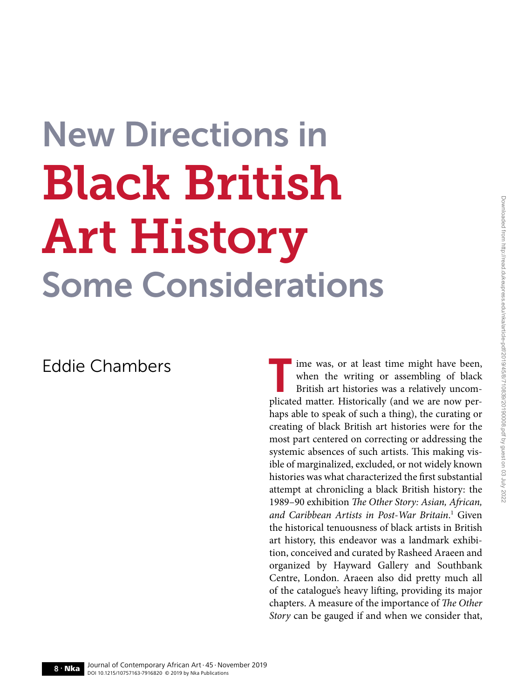## New Directions in Black British Art History Some Considerations

Eddie Chambers<br> **The Universe Chambers** The Weak when the writing or assembling of black<br>
British art histories was a relatively uncom-<br>
plicated matter. Historically (and we are now perwhen the writing or assembling of black British art histories was a relatively uncomplicated matter. Historically (and we are now perhaps able to speak of such a thing), the curating or creating of black British art histories were for the most part centered on correcting or addressing the systemic absences of such artists. This making visible of marginalized, excluded, or not widely known histories was what characterized the first substantial attempt at chronicling a black British history: the 1989–90 exhibition *The Other Story: Asian, African, and Caribbean Artists in Post-War Britain*. 1 Given the historical tenuousness of black artists in British art history, this endeavor was a landmark exhibition, conceived and curated by Rasheed Araeen and organized by Hayward Gallery and Southbank Centre, London. Araeen also did pretty much all of the catalogue's heavy lifting, providing its major chapters. A measure of the importance of *The Other Story* can be gauged if and when we consider that,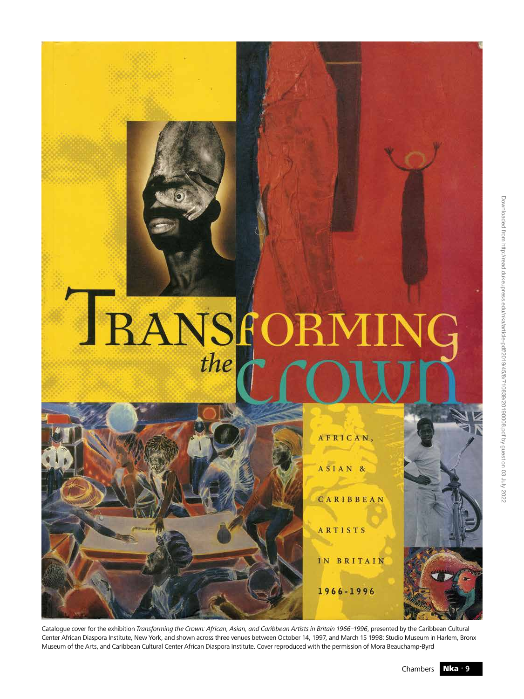# **IRANSFOI**

ASIAN & CARIBBEAN ARTISTS

AFRICAN,

IN BRITAIN

1966-1996

Catalogue cover for the exhibition *Transforming the Crown: African, Asian, and Caribbean Artists in Britain 1966–1996*, presented by the Caribbean Cultural Center African Diaspora Institute, New York, and shown across three venues between October 14, 1997, and March 15 1998: Studio Museum in Harlem, Bronx Museum of the Arts, and Caribbean Cultural Center African Diaspora Institute. Cover reproduced with the permission of Mora Beauchamp-Byrd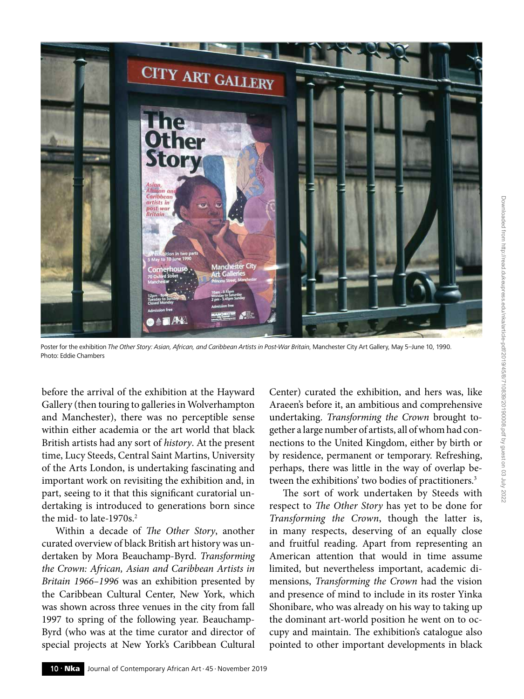

Poster for the exhibition *The Other Story: Asian, African, and Caribbean Artists in Post-War Britain*, Manchester City Art Gallery, May 5-June 10, 1990. Photo: Eddie Chambers

before the arrival of the exhibition at the Hayward Gallery (then touring to galleries in Wolverhampton and Manchester), there was no perceptible sense within either academia or the art world that black British artists had any sort of *history*. At the present time, Lucy Steeds, Central Saint Martins, University of the Arts London, is undertaking fascinating and important work on revisiting the exhibition and, in part, seeing to it that this significant curatorial undertaking is introduced to generations born since the mid- to late-1970 $s<sup>2</sup>$ 

Within a decade of *The Other Story*, another curated overview of black British art history was undertaken by Mora Beauchamp-Byrd. *Transforming the Crown: African, Asian and Caribbean Artists in Britain 1966–1996* was an exhibition presented by the Caribbean Cultural Center, New York, which was shown across three venues in the city from fall 1997 to spring of the following year. Beauchamp-Byrd (who was at the time curator and director of special projects at New York's Caribbean Cultural

Center) curated the exhibition, and hers was, like Araeen's before it, an ambitious and comprehensive undertaking. *Transforming the Crown* brought together a large number of artists, all of whom had connections to the United Kingdom, either by birth or by residence, permanent or temporary. Refreshing, perhaps, there was little in the way of overlap between the exhibitions' two bodies of practitioners.<sup>3</sup>

The sort of work undertaken by Steeds with respect to *The Other Story* has yet to be done for *Transforming the Crown*, though the latter is, in many respects, deserving of an equally close and fruitful reading. Apart from representing an American attention that would in time assume limited, but nevertheless important, academic dimensions, *Transforming the Crown* had the vision and presence of mind to include in its roster Yinka Shonibare, who was already on his way to taking up the dominant art-world position he went on to occupy and maintain. The exhibition's catalogue also pointed to other important developments in black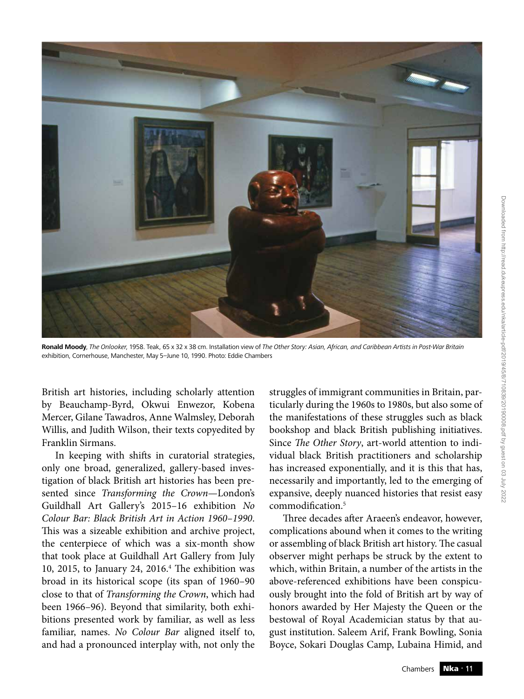

**Ronald Moody**, *The Onlooker*, 1958. Teak, 65 x 32 x 38 cm. Installation view of *The Other Story: Asian, African, and Caribbean Artists in Post-War Britain* exhibition, Cornerhouse, Manchester, May 5–June 10, 1990. Photo: Eddie Chambers

British art histories, including scholarly attention by Beauchamp-Byrd, Okwui Enwezor, Kobena Mercer, Gilane Tawadros, Anne Walmsley, Deborah Willis, and Judith Wilson, their texts copyedited by Franklin Sirmans.

In keeping with shifts in curatorial strategies, only one broad, generalized, gallery-based investigation of black British art histories has been presented since *Transforming the Crown*—London's Guildhall Art Gallery's 2015–16 exhibition *No Colour Bar: Black British Art in Action 1960–1990*. This was a sizeable exhibition and archive project, the centerpiece of which was a six-month show that took place at Guildhall Art Gallery from July 10, 2015, to January 24, 2016.4 The exhibition was broad in its historical scope (its span of 1960–90 close to that of *Transforming the Crown*, which had been 1966–96). Beyond that similarity, both exhibitions presented work by familiar, as well as less familiar, names. *No Colour Bar* aligned itself to, and had a pronounced interplay with, not only the

struggles of immigrant communities in Britain, particularly during the 1960s to 1980s, but also some of the manifestations of these struggles such as black bookshop and black British publishing initiatives. Since *The Other Story*, art-world attention to individual black British practitioners and scholarship has increased exponentially, and it is this that has, necessarily and importantly, led to the emerging of expansive, deeply nuanced histories that resist easy commodification.<sup>5</sup>

Three decades after Araeen's endeavor, however, complications abound when it comes to the writing or assembling of black British art history. The casual observer might perhaps be struck by the extent to which, within Britain, a number of the artists in the above-referenced exhibitions have been conspicuously brought into the fold of British art by way of honors awarded by Her Majesty the Queen or the bestowal of Royal Academician status by that august institution. Saleem Arif, Frank Bowling, Sonia Boyce, Sokari Douglas Camp, Lubaina Himid, and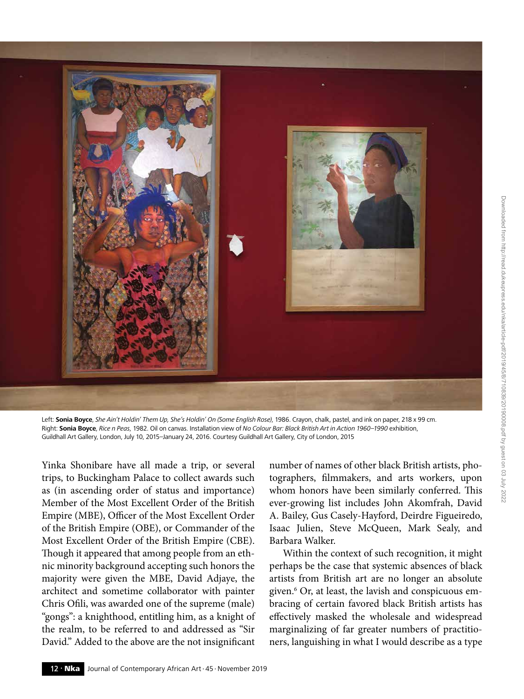

Left: **Sonia Boyce**, *She Ain't Holdin' Them Up, She's Holdin' On (Some English Rose)*, 1986. Crayon, chalk, pastel, and ink on paper, 218 x 99 cm. Right: **Sonia Boyce**, *Rice n Peas*, 1982. Oil on canvas. Installation view of *No Colour Bar: Black British Art in Action 1960–1990* exhibition, Guildhall Art Gallery, London, July 10, 2015–January 24, 2016. Courtesy Guildhall Art Gallery, City of London, 2015

Yinka Shonibare have all made a trip, or several trips, to Buckingham Palace to collect awards such as (in ascending order of status and importance) Member of the Most Excellent Order of the British Empire (MBE), Officer of the Most Excellent Order of the British Empire (OBE), or Commander of the Most Excellent Order of the British Empire (CBE). Though it appeared that among people from an ethnic minority background accepting such honors the majority were given the MBE, David Adjaye, the architect and sometime collaborator with painter Chris Ofili, was awarded one of the supreme (male) "gongs": a knighthood, entitling him, as a knight of the realm, to be referred to and addressed as "Sir David." Added to the above are the not insignificant

number of names of other black British artists, photographers, filmmakers, and arts workers, upon whom honors have been similarly conferred. This ever-growing list includes John Akomfrah, David A. Bailey, Gus Casely-Hayford, Deirdre Figueiredo, Isaac Julien, Steve McQueen, Mark Sealy, and Barbara Walker.

Within the context of such recognition, it might perhaps be the case that systemic absences of black artists from British art are no longer an absolute given.6 Or, at least, the lavish and conspicuous embracing of certain favored black British artists has effectively masked the wholesale and widespread marginalizing of far greater numbers of practitioners, languishing in what I would describe as a type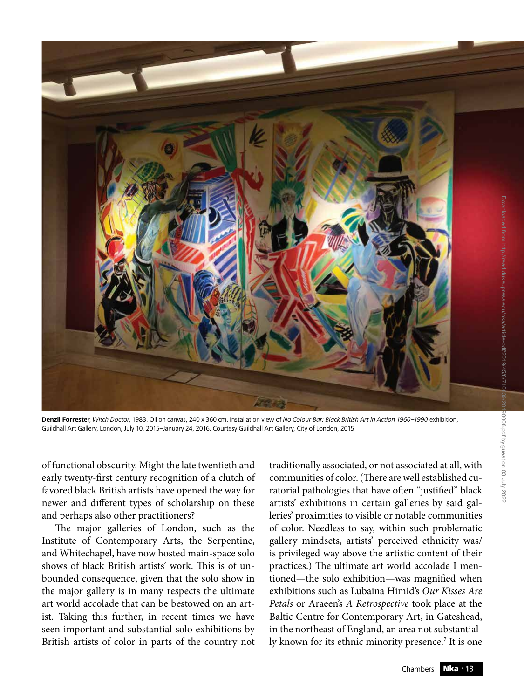

**Denzil Forrester**, *Witch Doctor*, 1983. Oil on canvas, 240 x 360 cm. Installation view of *No Colour Bar: Black British Art in Action 1960–1990* exhibition, Guildhall Art Gallery, London, July 10, 2015–January 24, 2016. Courtesy Guildhall Art Gallery, City of London, 2015

of functional obscurity. Might the late twentieth and early twenty-first century recognition of a clutch of favored black British artists have opened the way for newer and different types of scholarship on these and perhaps also other practitioners?

The major galleries of London, such as the Institute of Contemporary Arts, the Serpentine, and Whitechapel, have now hosted main-space solo shows of black British artists' work. This is of unbounded consequence, given that the solo show in the major gallery is in many respects the ultimate art world accolade that can be bestowed on an artist. Taking this further, in recent times we have seen important and substantial solo exhibitions by British artists of color in parts of the country not

traditionally associated, or not associated at all, with communities of color. (There are well established curatorial pathologies that have often "justified" black artists' exhibitions in certain galleries by said galleries' proximities to visible or notable communities of color. Needless to say, within such problematic gallery mindsets, artists' perceived ethnicity was/ is privileged way above the artistic content of their practices.) The ultimate art world accolade I mentioned—the solo exhibition—was magnified when exhibitions such as Lubaina Himid's *Our Kisses Are Petals* or Araeen's *A Retrospective* took place at the Baltic Centre for Contemporary Art, in Gateshead, in the northeast of England, an area not substantially known for its ethnic minority presence.7 It is one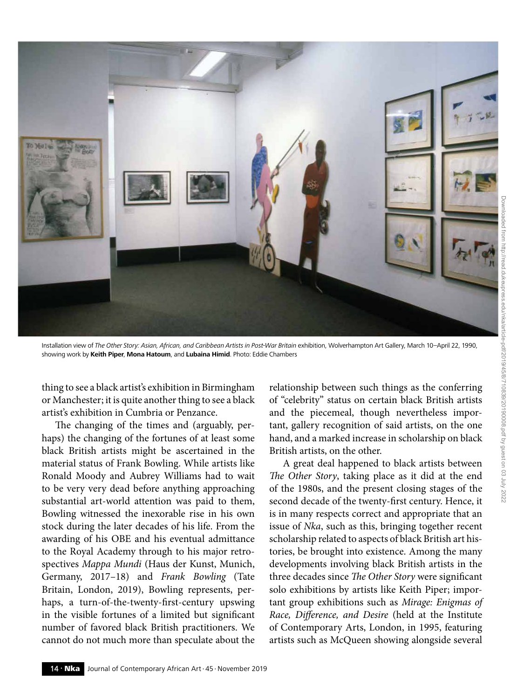

Installation view of The Other Story: Asian, African, and Caribbean Artists in Post-War Britain exhibition, Wolverhampton Art Gallery, March 10-April 22, 1990, showing work by **Keith Piper**, **Mona Hatoum**, and **Lubaina Himid**. Photo: Eddie Chambers

thing to see a black artist's exhibition in Birmingham or Manchester; it is quite another thing to see a black artist's exhibition in Cumbria or Penzance.

The changing of the times and (arguably, perhaps) the changing of the fortunes of at least some black British artists might be ascertained in the material status of Frank Bowling. While artists like Ronald Moody and Aubrey Williams had to wait to be very very dead before anything approaching substantial art-world attention was paid to them, Bowling witnessed the inexorable rise in his own stock during the later decades of his life. From the awarding of his OBE and his eventual admittance to the Royal Academy through to his major retrospectives *Mappa Mundi* (Haus der Kunst, Munich, Germany, 2017–18) and *Frank Bowling* (Tate Britain, London, 2019), Bowling represents, perhaps, a turn-of-the-twenty-first-century upswing in the visible fortunes of a limited but significant number of favored black British practitioners. We cannot do not much more than speculate about the

relationship between such things as the conferring of "celebrity" status on certain black British artists and the piecemeal, though nevertheless important, gallery recognition of said artists, on the one hand, and a marked increase in scholarship on black British artists, on the other.

A great deal happened to black artists between *The Other Story*, taking place as it did at the end of the 1980s, and the present closing stages of the second decade of the twenty-first century. Hence, it is in many respects correct and appropriate that an issue of *Nka*, such as this, bringing together recent scholarship related to aspects of black British art histories, be brought into existence. Among the many developments involving black British artists in the three decades since *The Other Story* were significant solo exhibitions by artists like Keith Piper; important group exhibitions such as *Mirage: Enigmas of Race, Difference, and Desire* (held at the Institute of Contemporary Arts, London, in 1995, featuring artists such as McQueen showing alongside several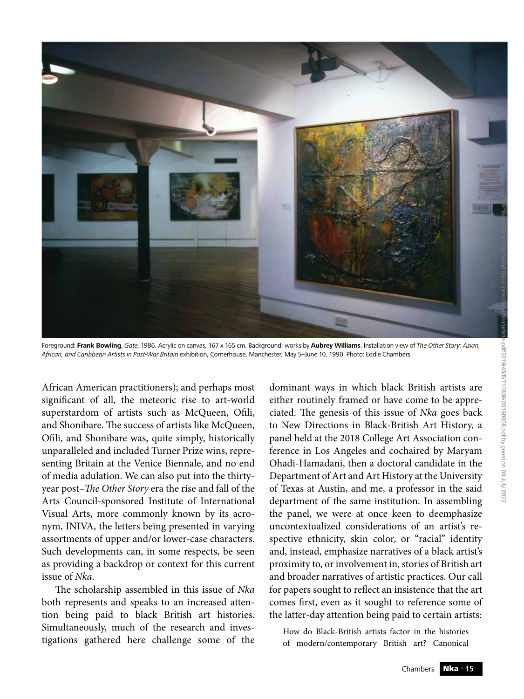

Foreground: **Frank Bowling**, *Gate*, 1986. Acrylic on canvas, 167 x 165 cm. Background: works by **Aubrey Williams**. Installation view of *The Other Story: Asian, African, and Caribbean Artists in Post-War Britain* exhibition, Cornerhouse, Manchester, May 5–June 10, 1990. Photo: Eddie Chambers

African American practitioners); and perhaps most significant of all, the meteoric rise to art-world superstardom of artists such as McQueen, Ofili, and Shonibare. The success of artists like McQueen, Ofili, and Shonibare was, quite simply, historically unparalleled and included Turner Prize wins, representing Britain at the Venice Biennale, and no end of media adulation. We can also put into the thirtyyear post–*The Other Story* era the rise and fall of the Arts Council-sponsored Institute of International Visual Arts, more commonly known by its acronym, INIVA, the letters being presented in varying assortments of upper and/or lower-case characters. Such developments can, in some respects, be seen as providing a backdrop or context for this current issue of *Nka*.

The scholarship assembled in this issue of *Nka* both represents and speaks to an increased attention being paid to black British art histories. Simultaneously, much of the research and investigations gathered here challenge some of the

dominant ways in which black British artists are either routinely framed or have come to be appreciated. The genesis of this issue of *Nka* goes back to New Directions in Black-British Art History, a panel held at the 2018 College Art Association conference in Los Angeles and cochaired by Maryam Ohadi-Hamadani, then a doctoral candidate in the Department of Art and Art History at the University of Texas at Austin, and me, a professor in the said department of the same institution. In assembling the panel, we were at once keen to deemphasize uncontextualized considerations of an artist's respective ethnicity, skin color, or "racial" identity and, instead, emphasize narratives of a black artist's proximity to, or involvement in, stories of British art and broader narratives of artistic practices. Our call for papers sought to reflect an insistence that the art comes first, even as it sought to reference some of the latter-day attention being paid to certain artists:

How do Black-British artists factor in the histories of modern/contemporary British art? Canonical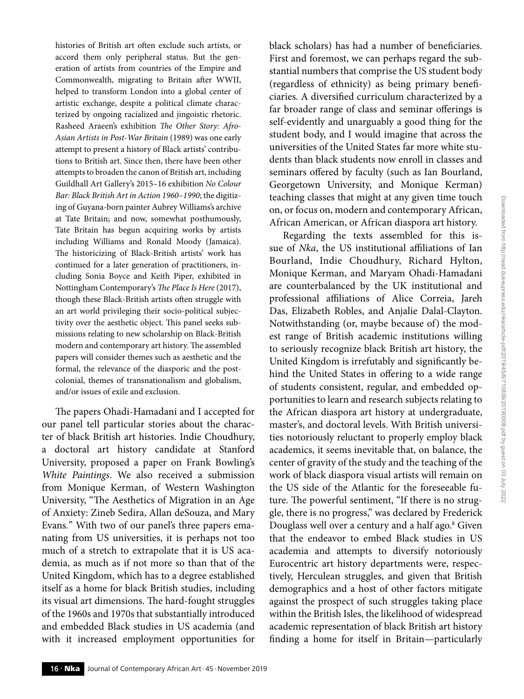histories of British art often exclude such artists, or accord them only peripheral status. But the generation of artists from countries of the Empire and Commonwealth, migrating to Britain after WWII, helped to transform London into a global center of artistic exchange, despite a political climate characterized by ongoing racialized and jingoistic rhetoric. Rasheed Araeen's exhibition *The Other Story: Afro-Asian Artists in Post-War Britain* (1989) was one early attempt to present a history of Black artists' contributions to British art. Since then, there have been other attempts to broaden the canon of British art, including Guildhall Art Gallery's 2015–16 exhibition *No Colour Bar: Black British Art in Action 1960–1990*; the digitizing of Guyana-born painter Aubrey Williams's archive at Tate Britain; and now, somewhat posthumously, Tate Britain has begun acquiring works by artists including Williams and Ronald Moody (Jamaica). The historicizing of Black-British artists' work has continued for a later generation of practitioners, including Sonia Boyce and Keith Piper, exhibited in Nottingham Contemporary's *The Place Is Here* (2017), though these Black-British artists often struggle with an art world privileging their socio-political subjectivity over the aesthetic object. This panel seeks submissions relating to new scholarship on Black-British modern and contemporary art history. The assembled papers will consider themes such as aesthetic and the formal, the relevance of the diasporic and the postcolonial, themes of transnationalism and globalism, and/or issues of exile and exclusion.

The papers Ohadi-Hamadani and I accepted for our panel tell particular stories about the character of black British art histories. Indie Choudhury, a doctoral art history candidate at Stanford University, proposed a paper on Frank Bowling's *White Paintings*. We also received a submission from Monique Kerman, of Western Washington University, "The Aesthetics of Migration in an Age of Anxiety: Zineb Sedira, Allan deSouza, and Mary Evans*.*" With two of our panel's three papers emanating from US universities, it is perhaps not too much of a stretch to extrapolate that it is US academia, as much as if not more so than that of the United Kingdom, which has to a degree established itself as a home for black British studies, including its visual art dimensions. The hard-fought struggles of the 1960s and 1970s that substantially introduced and embedded Black studies in US academia (and with it increased employment opportunities for

black scholars) has had a number of beneficiaries. First and foremost, we can perhaps regard the substantial numbers that comprise the US student body (regardless of ethnicity) as being primary beneficiaries. A diversified curriculum characterized by a far broader range of class and seminar offerings is self-evidently and unarguably a good thing for the student body, and I would imagine that across the universities of the United States far more white students than black students now enroll in classes and seminars offered by faculty (such as Ian Bourland, Georgetown University, and Monique Kerman) teaching classes that might at any given time touch on, or focus on, modern and contemporary African, African American, or African diaspora art history.

Regarding the texts assembled for this issue of *Nka*, the US institutional affiliations of Ian Bourland, Indie Choudhury, Richard Hylton, Monique Kerman, and Maryam Ohadi-Hamadani are counterbalanced by the UK institutional and professional affiliations of Alice Correia, Jareh Das, Elizabeth Robles, and Anjalie Dalal-Clayton. Notwithstanding (or, maybe because of) the modest range of British academic institutions willing to seriously recognize black British art history, the United Kingdom is irrefutably and significantly behind the United States in offering to a wide range of students consistent, regular, and embedded opportunities to learn and research subjects relating to the African diaspora art history at undergraduate, master's, and doctoral levels. With British universities notoriously reluctant to properly employ black academics, it seems inevitable that, on balance, the center of gravity of the study and the teaching of the work of black diaspora visual artists will remain on the US side of the Atlantic for the foreseeable future. The powerful sentiment, "If there is no struggle, there is no progress," was declared by Frederick Douglass well over a century and a half ago.8 Given that the endeavor to embed Black studies in US academia and attempts to diversify notoriously Eurocentric art history departments were, respectively, Herculean struggles, and given that British demographics and a host of other factors mitigate against the prospect of such struggles taking place within the British Isles, the likelihood of widespread academic representation of black British art history finding a home for itself in Britain—particularly